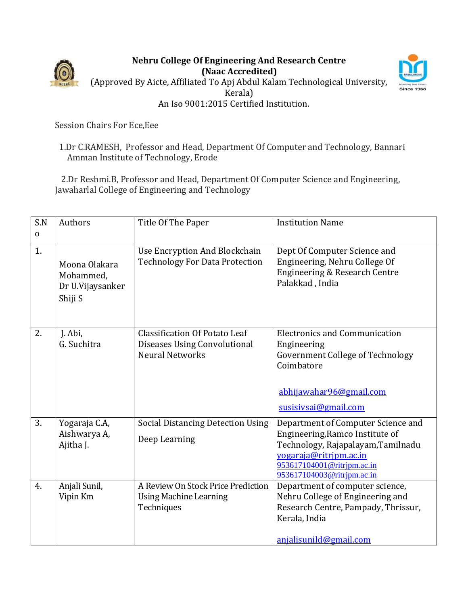

## **Nehru College Of Engineering And Research Centre (Naac Accredited)** (Approved By Aicte, Affiliated To Apj Abdul Kalam Technological University, Kerala) An Iso 9001:2015 Certified Institution.



Session Chairs For Ece,Eee

## 1.Dr C.RAMESH, Professor and Head, Department Of Computer and Technology, Bannari Amman Institute of Technology, Erode

2.Dr Reshmi.B, Professor and Head, Department Of Computer Science and Engineering, Jawaharlal College of Engineering and Technology

| S.N       | Authors                                                   | Title Of The Paper                                                                             | <b>Institution Name</b>                                                                                                                                                                           |
|-----------|-----------------------------------------------------------|------------------------------------------------------------------------------------------------|---------------------------------------------------------------------------------------------------------------------------------------------------------------------------------------------------|
| $\pmb{0}$ |                                                           |                                                                                                |                                                                                                                                                                                                   |
| 1.        | Moona Olakara<br>Mohammed,<br>Dr U.Vijaysanker<br>Shiji S | Use Encryption And Blockchain<br><b>Technology For Data Protection</b>                         | Dept Of Computer Science and<br>Engineering, Nehru College Of<br>Engineering & Research Centre<br>Palakkad, India                                                                                 |
| 2.        | J. Abi,<br>G. Suchitra                                    | <b>Classification Of Potato Leaf</b><br>Diseases Using Convolutional<br><b>Neural Networks</b> | <b>Electronics and Communication</b><br>Engineering<br>Government College of Technology<br>Coimbatore<br>abhijawahar96@gmail.com<br>susisivsai@gmail.com                                          |
| 3.        | Yogaraja C.A,<br>Aishwarya A,<br>Ajitha J.                | <b>Social Distancing Detection Using</b><br>Deep Learning                                      | Department of Computer Science and<br>Engineering, Ramco Institute of<br>Technology, Rajapalayam, Tamilnadu<br>yogaraja@ritrjpm.ac.in<br>953617104001@ritrjpm.ac.in<br>953617104003@ritrjpm.ac.in |
| 4.        | Anjali Sunil,<br>Vipin Km                                 | A Review On Stock Price Prediction<br><b>Using Machine Learning</b><br>Techniques              | Department of computer science,<br>Nehru College of Engineering and<br>Research Centre, Pampady, Thrissur,<br>Kerala, India<br>anjalisunild@gmail.com                                             |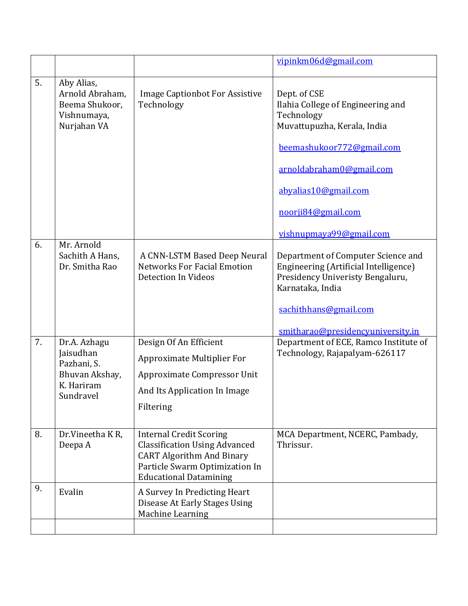|    |                                                                                       |                                                                                                                                                                               | vipinkm06d@gmail.com                                                                                                                |
|----|---------------------------------------------------------------------------------------|-------------------------------------------------------------------------------------------------------------------------------------------------------------------------------|-------------------------------------------------------------------------------------------------------------------------------------|
| 5. | Aby Alias,<br>Arnold Abraham,<br>Beema Shukoor,<br>Vishnumaya,<br>Nurjahan VA         | <b>Image Captionbot For Assistive</b><br>Technology                                                                                                                           | Dept. of CSE<br>Ilahia College of Engineering and<br>Technology<br>Muvattupuzha, Kerala, India                                      |
|    |                                                                                       |                                                                                                                                                                               | beemashukoor772@gmail.com                                                                                                           |
|    |                                                                                       |                                                                                                                                                                               | arnoldabraham0@gmail.com                                                                                                            |
|    |                                                                                       |                                                                                                                                                                               | abyalias10@gmail.com                                                                                                                |
|    |                                                                                       |                                                                                                                                                                               | noorji84@gmail.com                                                                                                                  |
|    |                                                                                       |                                                                                                                                                                               | vishnupmaya99@gmail.com                                                                                                             |
| 6. | Mr. Arnold<br>Sachith A Hans,<br>Dr. Smitha Rao                                       | A CNN-LSTM Based Deep Neural<br><b>Networks For Facial Emotion</b><br>Detection In Videos                                                                                     | Department of Computer Science and<br>Engineering (Artificial Intelligence)<br>Presidency Univeristy Bengaluru,<br>Karnataka, India |
|    |                                                                                       |                                                                                                                                                                               | sachithhans@gmail.com                                                                                                               |
| 7. | Dr.A. Azhagu<br>Jaisudhan<br>Pazhani, S.<br>Bhuvan Akshay,<br>K. Hariram<br>Sundravel | Design Of An Efficient<br><b>Approximate Multiplier For</b><br>Approximate Compressor Unit<br>And Its Application In Image<br>Filtering                                       | smitharao@presidencyuniversity.in<br>Department of ECE, Ramco Institute of<br>Technology, Rajapalyam-626117                         |
| 8. | Dr.Vineetha KR,<br>Deepa A                                                            | <b>Internal Credit Scoring</b><br><b>Classification Using Advanced</b><br><b>CART Algorithm And Binary</b><br>Particle Swarm Optimization In<br><b>Educational Datamining</b> | MCA Department, NCERC, Pambady,<br>Thrissur.                                                                                        |
| 9. | Evalin                                                                                | A Survey In Predicting Heart<br>Disease At Early Stages Using<br>Machine Learning                                                                                             |                                                                                                                                     |
|    |                                                                                       |                                                                                                                                                                               |                                                                                                                                     |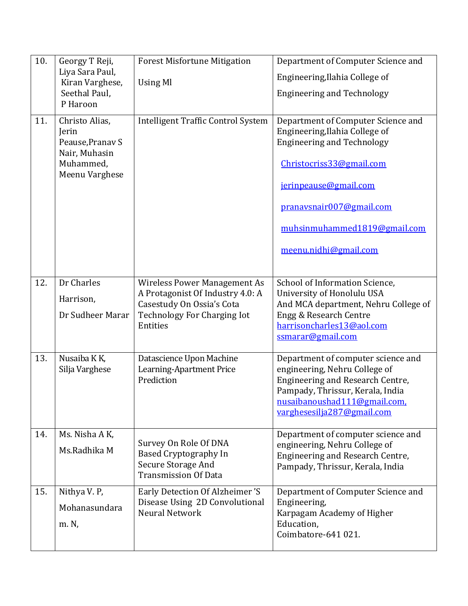| 10. | Georgy T Reji,<br>Liya Sara Paul,<br>Kiran Varghese,<br>Seethal Paul,<br>P Haroon           | <b>Forest Misfortune Mitigation</b><br><b>Using Ml</b>                                                                                                 | Department of Computer Science and<br>Engineering, Ilahia College of<br><b>Engineering and Technology</b>                                                                                                                                           |
|-----|---------------------------------------------------------------------------------------------|--------------------------------------------------------------------------------------------------------------------------------------------------------|-----------------------------------------------------------------------------------------------------------------------------------------------------------------------------------------------------------------------------------------------------|
| 11. | Christo Alias,<br>Jerin<br>Peause, Pranav S<br>Nair, Muhasin<br>Muhammed,<br>Meenu Varghese | <b>Intelligent Traffic Control System</b>                                                                                                              | Department of Computer Science and<br>Engineering, Ilahia College of<br><b>Engineering and Technology</b><br>Christocriss33@gmail.com<br>jerinpeause@gmail.com<br>pranavsnair007@gmail.com<br>muhsinmuhammed1819@gmail.com<br>meenu.nidhi@gmail.com |
| 12. | Dr Charles<br>Harrison,<br>Dr Sudheer Marar                                                 | <b>Wireless Power Management As</b><br>A Protagonist Of Industry 4.0: A<br>Casestudy On Ossia's Cota<br><b>Technology For Charging Iot</b><br>Entities | School of Information Science,<br>University of Honolulu USA<br>And MCA department, Nehru College of<br>Engg & Research Centre<br>harrisoncharles13@aol.com<br>ssmarar@gmail.com                                                                    |
| 13. | Nusaiba K K,<br>Silja Varghese                                                              | Datascience Upon Machine<br>Learning-Apartment Price<br>Prediction                                                                                     | Department of computer science and<br>engineering, Nehru College of<br>Engineering and Research Centre,<br>Pampady, Thrissur, Kerala, India<br>nusaibanoushad111@gmail.com,<br>varghesesilja287@gmail.com                                           |
| 14. | Ms. Nisha A K,<br>Ms.Radhika M                                                              | Survey On Role Of DNA<br><b>Based Cryptography In</b><br>Secure Storage And<br><b>Transmission Of Data</b>                                             | Department of computer science and<br>engineering, Nehru College of<br>Engineering and Research Centre,<br>Pampady, Thrissur, Kerala, India                                                                                                         |
| 15. | Nithya V. P,<br>Mohanasundara<br>m. N,                                                      | Early Detection Of Alzheimer 'S<br>Disease Using 2D Convolutional<br>Neural Network                                                                    | Department of Computer Science and<br>Engineering,<br>Karpagam Academy of Higher<br>Education,<br>Coimbatore-641 021.                                                                                                                               |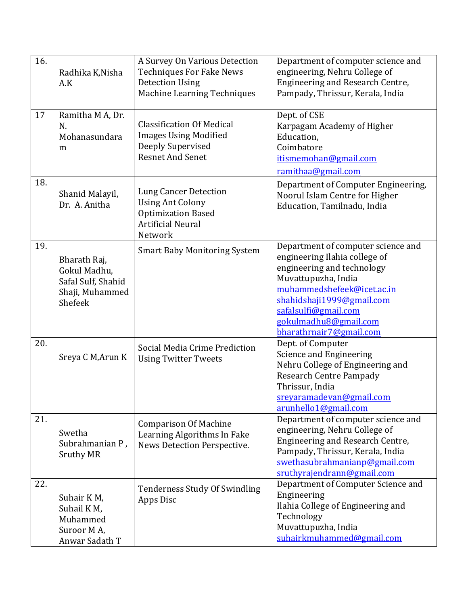| 16. | Radhika K, Nisha<br>A.K                                                          | A Survey On Various Detection<br><b>Techniques For Fake News</b><br><b>Detection Using</b><br>Machine Learning Techniques   | Department of computer science and<br>engineering, Nehru College of<br>Engineering and Research Centre,<br>Pampady, Thrissur, Kerala, India                                                                                                                     |
|-----|----------------------------------------------------------------------------------|-----------------------------------------------------------------------------------------------------------------------------|-----------------------------------------------------------------------------------------------------------------------------------------------------------------------------------------------------------------------------------------------------------------|
| 17  | Ramitha M A, Dr.<br>N.<br>Mohanasundara<br>m                                     | <b>Classification Of Medical</b><br><b>Images Using Modified</b><br>Deeply Supervised<br><b>Resnet And Senet</b>            | Dept. of CSE<br>Karpagam Academy of Higher<br>Education,<br>Coimbatore<br>itismemohan@gmail.com<br>ramithaa@gmail.com                                                                                                                                           |
| 18. | Shanid Malayil,<br>Dr. A. Anitha                                                 | <b>Lung Cancer Detection</b><br><b>Using Ant Colony</b><br><b>Optimization Based</b><br><b>Artificial Neural</b><br>Network | Department of Computer Engineering,<br>Noorul Islam Centre for Higher<br>Education, Tamilnadu, India                                                                                                                                                            |
| 19. | Bharath Raj,<br>Gokul Madhu,<br>Safal Sulf, Shahid<br>Shaji, Muhammed<br>Shefeek | <b>Smart Baby Monitoring System</b>                                                                                         | Department of computer science and<br>engineering Ilahia college of<br>engineering and technology<br>Muvattupuzha, India<br>muhammedshefeek@icet.ac.in<br>shahidshaji1999@gmail.com<br>safalsulfi@gmail.com<br>gokulmadhu8@gmail.com<br>bharathrnair7@gmail.com |
| 20. | Sreya C M, Arun K                                                                | Social Media Crime Prediction<br><b>Using Twitter Tweets</b>                                                                | Dept. of Computer<br>Science and Engineering<br>Nehru College of Engineering and<br><b>Research Centre Pampady</b><br>Thrissur, India<br>sreyaramadevan@gmail.com<br>arunhello1@gmail.com                                                                       |
| 21. | Swetha<br>Subrahmanian P,<br><b>Sruthy MR</b>                                    | <b>Comparison Of Machine</b><br>Learning Algorithms In Fake<br>News Detection Perspective.                                  | Department of computer science and<br>engineering, Nehru College of<br>Engineering and Research Centre,<br>Pampady, Thrissur, Kerala, India<br>swethasubrahmanianp@gmail.com<br>sruthyrajendrann@gmail.com                                                      |
| 22. | Suhair KM,<br>Suhail KM,<br>Muhammed<br>Suroor MA,<br>Anwar Sadath T             | Tenderness Study Of Swindling<br>Apps Disc                                                                                  | Department of Computer Science and<br>Engineering<br>Ilahia College of Engineering and<br>Technology<br>Muvattupuzha, India<br>suhairkmuhammed@gmail.com                                                                                                        |